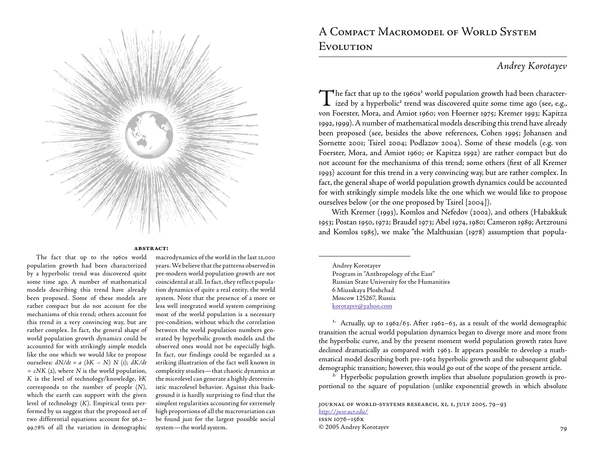

#### **abstract:**

The fact that up to the 1960s world population growth had been characterized by a hyperbolic trend was discovered quite some time ago. A number of mathematical models describing this trend have already been proposed. Some of these models are rather compact but do not account for the mechanisms of this trend; others account for this trend in a very convincing way, but are rather complex. In fact, the general shape of world population growth dynamics could be accounted for with strikingly simple models like the one which we would like to propose ourselves:  $dN/dt = a (bK - N) N (i)$ ;  $dK/dt$ *= cNK* (2), where *N* is the world population, *K* is the level of technology/knowledge, *bK* corresponds to the number of people (*N*), which the earth can support with the given level of technology (*K*). Empirical tests performed by us suggest that the proposed set of two differential equations account for 96.2– 99.78 of all the variation in demographic

macrodynamics of the world in the last 12,000 years. We believe that the patterns observed in pre-modern world population growth are not coincidental at all. In fact, they reflect population dynamics of quite a real entity, the world system. Note that the presence of a more or less well integrated world system comprising most of the world population is a necessary pre-condition, without which the correlation between the world population numbers generated by hyperbolic growth models and the observed ones would not be especially high. In fact, our findings could be regarded as a striking illustration of the fact well known in complexity studies — that chaotic dynamics at the microlevel can generate a highly deterministic macrolevel behavior. Against this background it is hardly surprising to find that the simplest regularities accounting for extremely high proportions of all the macrovariation can be found just for the largest possible social system — the world system.

# A Compact Macromodel of World System Evolution

## *Andrey Korotayev*

 $\blacktriangledown$  he fact that up to the 1960s<sup>1</sup> world population growth had been character- $\perp$  ized by a hyperbolic<sup>2</sup> trend was discovered quite some time ago (see, e.g., von Foerster, Mora, and Amiot 1960; von Hoerner 1975; Kremer 1993; Kapitza 1992, 1999). A number of mathematical models describing this trend have already been proposed (see, besides the above references, Cohen 1995; Johansen and Sornette 2001; Tsirel 2004; Podlazov 2004). Some of these models (e.g. von Foerster, Mora, and Amiot 1960; or Kapitza 1992) are rather compact but do not account for the mechanisms of this trend; some others (first of all Kremer 1993) account for this trend in a very convincing way, but are rather complex. In fact, the general shape of world population growth dynamics could be accounted for with strikingly simple models like the one which we would like to propose ourselves below (or the one proposed by Tsirel [2004]).

With Kremer (1993), Komlos and Nefedov (2002), and others (Habakkuk 1953; Postan 1950, 1972; Braudel 1973; Abel 1974, 1980; Cameron 1989; Artzrouni and Komlos 1985), we make "the Malthusian (1978) assumption that popula-

Andrey Korotayev Program in "Anthropology of the East" Russian State University for the Humanities 6 Miusskaya Ploshchad Moscow 125267, Russia korotayev@yahoo.com

<sup>1.</sup> Actually, up to 1962/63. After 1962–63, as a result of the world demographic transition the actual world population dynamics began to diverge more and more from the hyperbolic curve, and by the present moment world population growth rates have declined dramatically as compared with 1963. It appears possible to develop a mathematical model describing both pre-1962 hyperbolic growth and the subsequent global demographic transition; however, this would go out of the scope of the present article.

<sup>2.</sup> Hyperbolic population growth implies that absolute population growth is proportional to the square of population (unlike exponential growth in which absolute

JOURNAL OF WORLD-SYSTEMS RESEARCH, XI, I, JULY 2005, 79-93 *<http://jwsr.ucr.edu/>* issn 1076–156x © 2005 Andrey Korotayev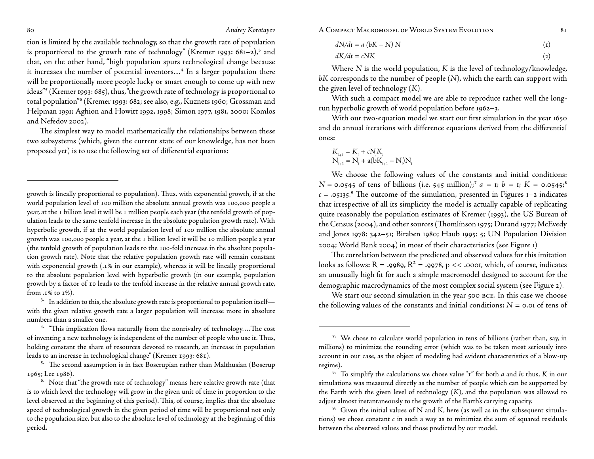tion is limited by the available technology, so that the growth rate of population is proportional to the growth rate of technology" (Kremer 1993:  $681-2$ ),<sup>3</sup> and that, on the other hand, "high population spurs technological change because it increases the number of potential inventors...<sup>4</sup> In a larger population there will be proportionally more people lucky or smart enough to come up with new ideas"⁵ (Kremer 1993: 685), thus, "the growth rate of technology is proportional to total population"<sup>6</sup> (Kremer 1993: 682; see also, e.g., Kuznets 1960; Grossman and Helpman 1991; Aghion and Howitt 1992, 1998; Simon 1977, 1981, 2000; Komlos and Nefedov 2002).

The simplest way to model mathematically the relationships between these two subsystems (which, given the current state of our knowledge, has not been proposed yet) is to use the following set of differential equations:

growth is lineally proportional to population). Thus, with exponential growth, if at the world population level of 100 million the absolute annual growth was 100,000 people a year, at the I billion level it will be I million people each year (the tenfold growth of population leads to the same tenfold increase in the absolute population growth rate). With hyperbolic growth, if at the world population level of 100 million the absolute annual growth was 100,000 people a year, at the I billion level it will be 10 million people a year (the tenfold growth of population leads to the 100-fold increase in the absolute population growth rate). Note that the relative population growth rate will remain constant with exponential growth (.1% in our example), whereas it will be lineally proportional to the absolute population level with hyperbolic growth (in our example, population growth by a factor of 10 leads to the tenfold increase in the relative annual growth rate, from  $.1\%$  to  $1\%$ .

 $3.$  In addition to this, the absolute growth rate is proportional to population itself with the given relative growth rate a larger population will increase more in absolute numbers than a smaller one.

<sup>4.</sup> "This implication flows naturally from the nonrivalry of technology....The cost of inventing a new technology is independent of the number of people who use it. Thus, holding constant the share of resources devoted to research, an increase in population leads to an increase in technological change" (Kremer 1993: 681).

<sup>5.</sup> The second assumption is in fact Boserupian rather than Malthusian (Boserup 1965; Lee 1986).

80 80 *Andrey Korotayev* A COMPACT MACROMODEL OF WORLD SYSTEM EVOLUTION 81

$$
dN/dt = a (bK - N) N
$$
 (1)

$$
dK/dt = cNK \tag{2}
$$

Where *N* is the world population, *K* is the level of technology/knowledge, *bK* corresponds to the number of people (*N*), which the earth can support with the given level of technology (*K*).

With such a compact model we are able to reproduce rather well the longrun hyperbolic growth of world population before 1962–3.

With our two-equation model we start our first simulation in the year 1650 and do annual iterations with difference equations derived from the differential ones:

$$
K_{i+1} = K_i + cN_iK_i
$$
  

$$
N_{i+1} = N_i + a(bK_{i+1} - N_i)N_i
$$

We choose the following values of the constants and initial conditions:  $N = 0.0545$  of tens of billions (i.e. 545 million);<sup>7</sup>  $a = 1$ ;  $b = 1$ ;  $K = 0.0545$ ;<sup>8</sup>  $c = .05135$ .<sup>9</sup> The outcome of the simulation, presented in Figures 1–2 indicates that irrespective of all its simplicity the model is actually capable of replicating quite reasonably the population estimates of Kremer (1993), the US Bureau of the Census (2004), and other sources (Thomlinson 1975; Durand 1977; McEvedy and Jones 1978: 342–51; Biraben 1980; Haub 1995: 5; UN Population Division 2004; World Bank 2004) in most of their characteristics (see Figure 1)

The correlation between the predicted and observed values for this imitation looks as follows:  $R = .9989$ ,  $R^2 = .9978$ ,  $p \ll .0001$ , which, of course, indicates an unusually high fit for such a simple macromodel designed to account for the demographic macrodynamics of the most complex social system (see Figure 2).

We start our second simulation in the year 500 BCE. In this case we choose the following values of the constants and initial conditions:  $N = 0.01$  of tens of

<sup>&</sup>lt;sup>6.</sup> Note that "the growth rate of technology" means here relative growth rate (that is to which level the technology will grow in the given unit of time in proportion to the level observed at the beginning of this period). This, of course, implies that the absolute speed of technological growth in the given period of time will be proportional not only to the population size, but also to the absolute level of technology at the beginning of this period.

<sup>&</sup>lt;sup>7.</sup> We chose to calculate world population in tens of billions (rather than, say, in millions) to minimize the rounding error (which was to be taken most seriously into account in our case, as the object of modeling had evident characteristics of a blow-up regime).

⁸. To simplify the calculations we chose value "" for both *a* and *b*; thus, *K* in our simulations was measured directly as the number of people which can be supported by the Earth with the given level of technology (*K*), and the population was allowed to adjust almost instantaneously to the growth of the Earth's carrying capacity.

 $9.$  Given the initial values of N and K, here (as well as in the subsequent simulations) we chose constant *c* in such a way as to minimize the sum of squared residuals between the observed values and those predicted by our model.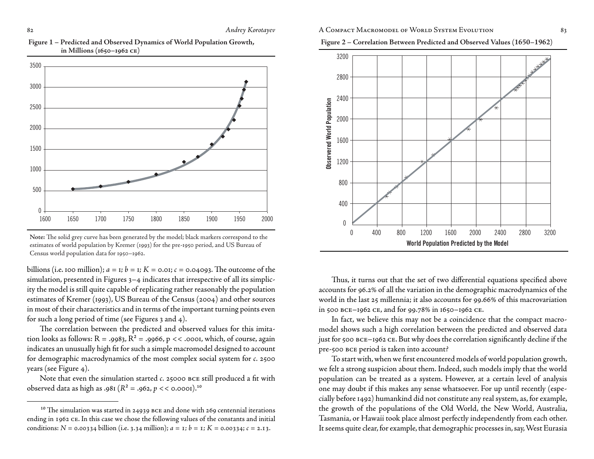



**Note:** The solid grey curve has been generated by the model; black markers correspond to the estimates of world population by Kremer (1993) for the pre-1950 period, and US Bureau of Census world population data for 1950–1962.

billions (i.e. 100 million);  $a = 1$ ;  $b = 1$ ;  $K = 0.01$ ;  $c = 0.04093$ . The outcome of the simulation, presented in Figures 3–4 indicates that irrespective of all its simplicity the model is still quite capable of replicating rather reasonably the population estimates of Kremer (1993), US Bureau of the Census (2004) and other sources in most of their characteristics and in terms of the important turning points even for such a long period of time (see Figures 3 and 4).

The correlation between the predicted and observed values for this imitation looks as follows:  $R = .9983$ ,  $R^2 = .9966$ ,  $p \lt\lt .0001$ , which, of course, again indicates an unusually high fit for such a simple macromodel designed to account for demographic macrodynamics of the most complex social system for *c.* 2500 years (see Figure 4).

Note that even the simulation started *c*. 25000 BCE still produced a fit with observed data as high as .981 ( $R^2$  = .962,  $p \lt 0.0001$ ).<sup>10</sup>

### 82 **Andrey Korotayev** A COMPACT MACROMODEL OF WORLD SYSTEM EVOLUTION 83





Thus, it turns out that the set of two differential equations specified above accounts for 96.2 of all the variation in the demographic macrodynamics of the world in the last 25 millennia; it also accounts for 99.66% of this macrovariation in 500  $BCE-1962$  CE, and for 99.78% in  $1650-1962$  CE.

In fact, we believe this may not be a coincidence that the compact macromodel shows such a high correlation between the predicted and observed data just for 500 BCE-1962 CE. But why does the correlation significantly decline if the pre-500 bce period is taken into account?

To start with, when we first encountered models of world population growth, we felt a strong suspicion about them. Indeed, such models imply that the world population can be treated as a system. However, at a certain level of analysis one may doubt if this makes any sense whatsoever. For up until recently (especially before 1492) humankind did not constitute any real system, as, for example, the growth of the populations of the Old World, the New World, Australia, Tasmania, or Hawaii took place almost perfectly independently from each other. It seems quite clear, for example, that demographic processes in, say, West Eurasia

 $^{10}$  The simulation was started in 24939 BCE and done with 269 centennial iterations ending in 1962 CE. In this case we chose the following values of the constants and initial conditions:  $N = 0.00334$  billion (i.e. 3.34 million);  $a = 1$ ;  $b = 1$ ;  $K = 0.00334$ ;  $c = 2.13$ .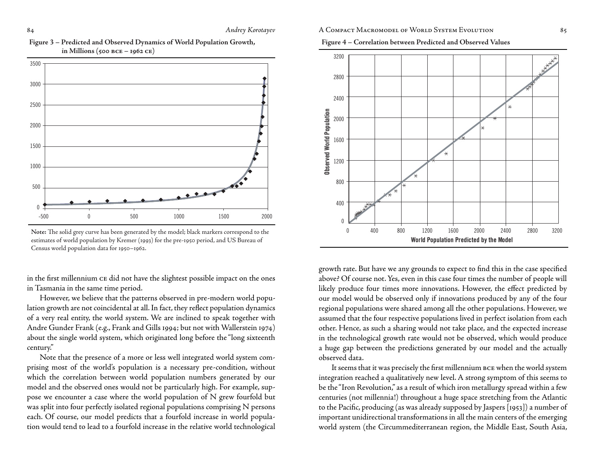



**Note:** The solid grey curve has been generated by the model; black markers correspond to the estimates of world population by Kremer (1993) for the pre-1950 period, and US Bureau of Census world population data for 1950–1962.

in the first millennium  $ce$  did not have the slightest possible impact on the ones in Tasmania in the same time period.

However, we believe that the patterns observed in pre-modern world population growth are not coincidental at all. In fact, they reflect population dynamics of a very real entity, the world system. We are inclined to speak together with Andre Gunder Frank (e.g., Frank and Gills 1994; but not with Wallerstein 1974) about the single world system, which originated long before the "long sixteenth century."

Note that the presence of a more or less well integrated world system comprising most of the world's population is a necessary pre-condition, without which the correlation between world population numbers generated by our model and the observed ones would not be particularly high. For example, suppose we encounter a case where the world population of N grew fourfold but was split into four perfectly isolated regional populations comprising N persons each. Of course, our model predicts that a fourfold increase in world population would tend to lead to a fourfold increase in the relative world technological

### 84 **Andrey Korotayev** A COMPACT MACROMODEL OF WORLD SYSTEM EVOLUTION 85

**Figure 4 – Correlation between Predicted and Observed Values**



growth rate. But have we any grounds to expect to find this in the case specified above? Of course not. Yes, even in this case four times the number of people will likely produce four times more innovations. However, the effect predicted by our model would be observed only if innovations produced by any of the four regional populations were shared among all the other populations. However, we assumed that the four respective populations lived in perfect isolation from each other. Hence, as such a sharing would not take place, and the expected increase in the technological growth rate would not be observed, which would produce a huge gap between the predictions generated by our model and the actually observed data.

It seems that it was precisely the first millennium BCE when the world system integration reached a qualitatively new level. A strong symptom of this seems to be the "Iron Revolution," as a result of which iron metallurgy spread within a few centuries (not millennia!) throughout a huge space stretching from the Atlantic to the Pacific, producing (as was already supposed by Jaspers [1953]) a number of important unidirectional transformations in all the main centers of the emerging world system (the Circummediterranean region, the Middle East, South Asia,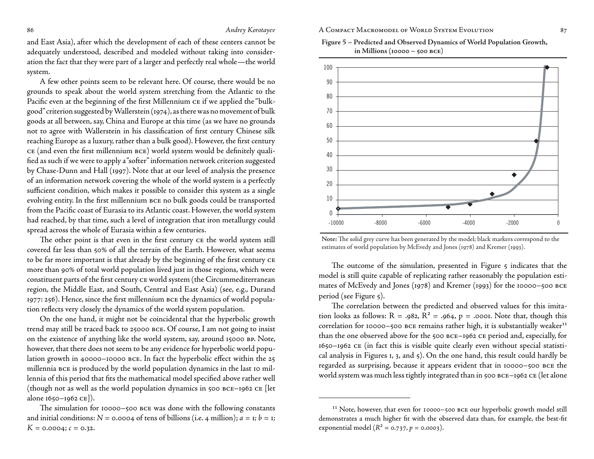and East Asia), after which the development of each of these centers cannot be adequately understood, described and modeled without taking into consideration the fact that they were part of a larger and perfectly real whole—the world system.

A few other points seem to be relevant here. Of course, there would be no grounds to speak about the world system stretching from the Atlantic to the Pacific even at the beginning of the first Millennium  $c$ E if we applied the "bulkgood" criterion suggested by Wallerstein (1974), as there was no movement of bulk goods at all between, say, China and Europe at this time (as we have no grounds not to agree with Wallerstein in his classification of first century Chinese silk reaching Europe as a luxury, rather than a bulk good). However, the first century CE (and even the first millennium BCE) world system would be definitely qualified as such if we were to apply a "softer" information network criterion suggested by Chase-Dunn and Hall (1997). Note that at our level of analysis the presence of an information network covering the whole of the world system is a perfectly sufficient condition, which makes it possible to consider this system as a single evolving entity. In the first millennium BCE no bulk goods could be transported from the Pacific coast of Eurasia to its Atlantic coast. However, the world system had reached, by that time, such a level of integration that iron metallurgy could spread across the whole of Eurasia within a few centuries.

The other point is that even in the first century CE the world system still covered far less than 50% of all the terrain of the Earth. However, what seems to be far more important is that already by the beginning of the first century CE more than 90% of total world population lived just in those regions, which were constituent parts of the first century CE world system (the Circummediterranean region, the Middle East, and South, Central and East Asia) (see, e.g., Durand 1977: 256). Hence, since the first millennium BCE the dynamics of world population reflects very closely the dynamics of the world system population.

On the one hand, it might not be coincidental that the hyperbolic growth trend may still be traced back to 25000 bce. Of course, I am not going to insist on the existence of anything like the world system, say, around 15000 bp. Note, however, that there does not seem to be any evidence for hyperbolic world population growth in 40000-10000 BCE. In fact the hyperbolic effect within the 25 millennia bce is produced by the world population dynamics in the last 10 millennia of this period that fits the mathematical model specified above rather well (though not as well as the world population dynamics in 500 bce–1962 ce [let alone 1650–1962 ce]).

### 86 86 **Andrey Korotayev** A COMPACT MACROMODEL OF WORLD SYSTEM EVOLUTION 87

**Figure 5 – Predicted and Observed Dynamics of World Population Growth, in Millions (10000 – 500 bce)**



**Note:** The solid grey curve has been generated by the model; black markers correspond to the estimates of world population by McEvedy and Jones (1978) and Kremer (1993).

The outcome of the simulation, presented in Figure 5 indicates that the model is still quite capable of replicating rather reasonably the population estimates of McEvedy and Jones (1978) and Kremer (1993) for the 10000–500 bce period (see Figure 5).

The correlation between the predicted and observed values for this imitation looks as follows:  $R = .982$ ,  $R^2 = .964$ ,  $p = .0001$ . Note that, though this correlation for 10000-500 BCE remains rather high, it is substantially weaker<sup>11</sup> than the one observed above for the 500 BCE-1962 CE period and, especially, for 1650–1962 ce (in fact this is visible quite clearly even without special statistical analysis in Figures 1, 3, and 5). On the one hand, this result could hardly be regarded as surprising, because it appears evident that in 10000–500 bce the world system was much less tightly integrated than in 500 BCE-1962 CE (let alone

The simulation for 10000-500 BCE was done with the following constants and initial conditions:  $N = 0.0004$  of tens of billions (i.e. 4 million);  $a = 1$ ;  $b = 1$ ;  $K = 0.0004$ ;  $c = 0.32$ .

<sup>&</sup>lt;sup>11</sup> Note, however, that even for 10000-500 BCE our hyperbolic growth model still demonstrates a much higher fit with the observed data than, for example, the best-fit exponential model  $(R^2 = 0.737, p = 0.0003)$ .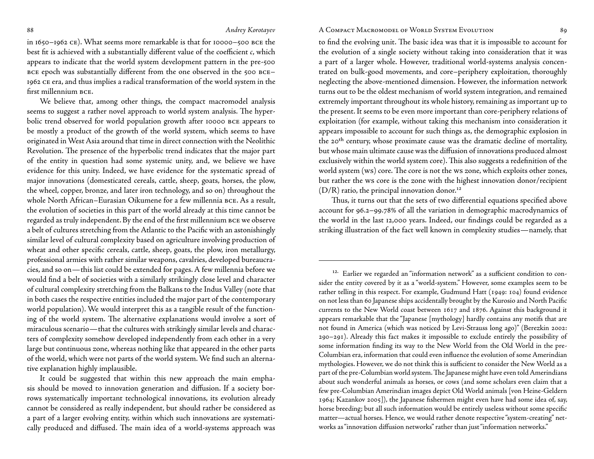#### 88 Andrey Korotayev A COMPACT MACROMODEL OF WORLD SYSTEM EVOLUTION 89

in 1650–1962 ce). What seems more remarkable is that for 10000–500 bce the best fit is achieved with a substantially different value of the coefficient *c*, which appears to indicate that the world system development pattern in the pre-500 BCE epoch was substantially different from the one observed in the 500 BCE-1962 ce era, and thus implies a radical transformation of the world system in the first millennium BCE.

We believe that, among other things, the compact macromodel analysis seems to suggest a rather novel approach to world system analysis. The hyperbolic trend observed for world population growth after 10000 bce appears to be mostly a product of the growth of the world system, which seems to have originated in West Asia around that time in direct connection with the Neolithic Revolution. The presence of the hyperbolic trend indicates that the major part of the entity in question had some systemic unity, and, we believe we have evidence for this unity. Indeed, we have evidence for the systematic spread of major innovations (domesticated cereals, cattle, sheep, goats, horses, the plow, the wheel, copper, bronze, and later iron technology, and so on) throughout the whole North African–Eurasian Oikumene for a few millennia bce. As a result, the evolution of societies in this part of the world already at this time cannot be regarded as truly independent. By the end of the first millennium BCE we observe a belt of cultures stretching from the Atlantic to the Pacific with an astonishingly similar level of cultural complexity based on agriculture involving production of wheat and other specific cereals, cattle, sheep, goats, the plow, iron metallurgy, professional armies with rather similar weapons, cavalries, developed bureaucracies, and so on — this list could be extended for pages. A few millennia before we would find a belt of societies with a similarly strikingly close level and character of cultural complexity stretching from the Balkans to the Indus Valley (note that in both cases the respective entities included the major part of the contemporary world population). We would interpret this as a tangible result of the functioning of the world system. The alternative explanations would involve a sort of miraculous scenario — that the cultures with strikingly similar levels and characters of complexity somehow developed independently from each other in a very large but continuous zone, whereas nothing like that appeared in the other parts of the world, which were not parts of the world system. We find such an alternative explanation highly implausible.

It could be suggested that within this new approach the main emphasis should be moved to innovation generation and diffusion. If a society borrows systematically important technological innovations, its evolution already cannot be considered as really independent, but should rather be considered as a part of a larger evolving entity, within which such innovations are systematically produced and diffused. The main idea of a world-systems approach was

to find the evolving unit. The basic idea was that it is impossible to account for the evolution of a single society without taking into consideration that it was a part of a larger whole. However, traditional world-systems analysis concentrated on bulk-good movements, and core–periphery exploitation, thoroughly neglecting the above-mentioned dimension. However, the information network turns out to be the oldest mechanism of world system integration, and remained extremely important throughout its whole history, remaining as important up to the present. It seems to be even more important than core-periphery relations of exploitation (for example, without taking this mechanism into consideration it appears impossible to account for such things as, the demographic explosion in the 20<sup>th</sup> century, whose proximate cause was the dramatic decline of mortality, but whose main ultimate cause was the diffusion of innovations produced almost exclusively within the world system core). This also suggests a redefinition of the world system (ws) core. The core is not the ws zone, which exploits other zones, but rather the ws core is the zone with the highest innovation donor/recipient  $(D/R)$  ratio, the principal innovation donor.<sup>12</sup>

Thus, it turns out that the sets of two differential equations specified above account for 96.2–99.78 of all the variation in demographic macrodynamics of the world in the last 12,000 years. Indeed, our findings could be regarded as a striking illustration of the fact well known in complexity studies — namely, that

<sup>&</sup>lt;sup>12.</sup> Earlier we regarded an "information network" as a sufficient condition to consider the entity covered by it as a "world-system." However, some examples seem to be rather telling in this respect. For example, Gudmund Hatt (1949: 104) found evidence on not less than 60 Japanese ships accidentally brought by the Kurosio and North Pacific currents to the New World coast between 1617 and 1876. Against this background it appears remarkable that the "Japanese [mythology] hardly contains any motifs that are not found in America (which was noticed by Levi-Strauss long ago)" (Berezkin : –). Already this fact makes it impossible to exclude entirely the possibility of some information finding its way to the New World from the Old World in the pre-Columbian era, information that could even influence the evolution of some Amerindian mythologies. However, we do not think this is sufficient to consider the New World as a part of the pre-Columbian world system. The Japanese might have even told Amerindians about such wonderful animals as horses, or cows (and some scholars even claim that a few pre-Columbian Amerindian images depict Old World animals [von Heine-Geldern 1964; Kazankov 2005]), the Japanese fishermen might even have had some idea of, say, horse breeding; but all such information would be entirely useless without some specific matter—actual horses. Hence, we would rather denote respective "system-creating" networks as "innovation diffusion networks" rather than just "information networks."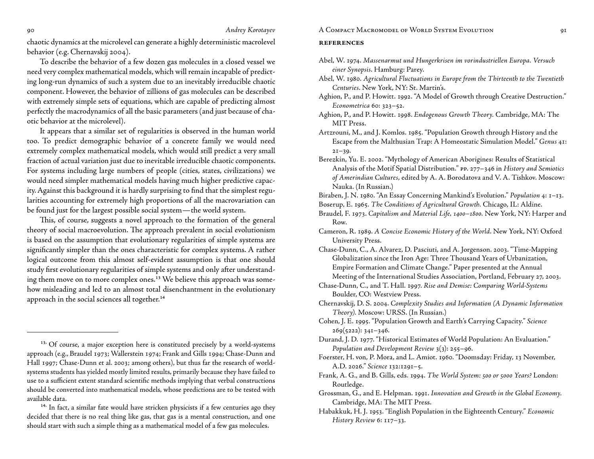chaotic dynamics at the microlevel can generate a highly deterministic macrolevel behavior (e.g. Chernavskij 2004).

To describe the behavior of a few dozen gas molecules in a closed vessel we need very complex mathematical models, which will remain incapable of predicting long-run dynamics of such a system due to an inevitably irreducible chaotic component. However, the behavior of zillions of gas molecules can be described with extremely simple sets of equations, which are capable of predicting almost perfectly the macrodynamics of all the basic parameters (and just because of chaotic behavior at the microlevel).

It appears that a similar set of regularities is observed in the human world too. To predict demographic behavior of a concrete family we would need extremely complex mathematical models, which would still predict a very small fraction of actual variation just due to inevitable irreducible chaotic components. For systems including large numbers of people (cities, states, civilizations) we would need simpler mathematical models having much higher predictive capacity. Against this background it is hardly surprising to find that the simplest regularities accounting for extremely high proportions of all the macrovariation can be found just for the largest possible social system — the world system.

This, of course, suggests a novel approach to the formation of the general theory of social macroevolution. The approach prevalent in social evolutionism is based on the assumption that evolutionary regularities of simple systems are significantly simpler than the ones characteristic for complex systems. A rather logical outcome from this almost self-evident assumption is that one should study first evolutionary regularities of simple systems and only after understanding them move on to more complex ones.<sup>13</sup> We believe this approach was somehow misleading and led to an almost total disenchantment in the evolutionary approach in the social sciences all together.<sup>14</sup>

#### 90 *Andrey Korotayev* A Compact Macromodel of World System Evolution

#### **references**

- Abel, W. . *Massenarmut und Hungerkrisen im vorindustriellen Europa. Versuch einer Synopsis*. Hamburg: Parey.
- Abel, W. . *Agricultural Fluctuations in Europe from the Thirteenth to the Twentieth Centuries*. New York, NY: St. Martin's.
- Aghion, P., and P. Howitt. 1992. "A Model of Growth through Creative Destruction." *Econometrica* 60: 323-52.
- Aghion, P., and P. Howitt. . *Endogenous Growth Theory.* Cambridge, MA: The MIT Press.
- Artzrouni, M., and J. Komlos. 1985. "Population Growth through History and the Escape from the Malthusian Trap: A Homeostatic Simulation Model." Genus 41:  $2I-39.$
- Berezkin, Yu. E. 2002. "Mythology of American Aborigines: Results of Statistical Analysis of the Motif Spatial Distribution." PP. 277-346 in *History and Semiotics of Amerindian Cultures*, edited by A. A. Borodatova and V. A. Tishkov. Moscow: Nauka. (In Russian.)

Biraben, J. N. 1980. "An Essay Concerning Mankind's Evolution." *Population* 4: 1-13.

- Boserup, E. . *The Conditions of Agricultural Growth.* Chicago, IL: Aldine.
- Braudel, F. 1973. Capitalism and Material Life, 1400-1800. New York, NY: Harper and Row.
- Cameron, R. . *A Concise Economic History of the World*. New York, NY: Oxford University Press.
- Chase-Dunn, C., A. Alvarez, D. Pasciuti, and A. Jorgenson. 2003. "Time-Mapping Globalization since the Iron Age: Three Thousand Years of Urbanization, Empire Formation and Climate Change." Paper presented at the Annual Meeting of the International Studies Association, Portland, February 27, 2003.
- Chase-Dunn, C., and T. Hall. . *Rise and Demise: Comparing World-Systems*  Boulder, CO: Westview Press.
- Chernavskij, D. S. . *Complexity Studies and Information (A Dynamic Information Theory).* Moscow: URSS. (In Russian.)
- Cohen, J. E. . "Population Growth and Earth's Carrying Capacity." *Science*  $269(5222): 34I-346.$
- Durand, J. D. 1977. "Historical Estimates of World Population: An Evaluation." *Population and Development Review* 3(3): 255–96.
- Foerster, H. von, P. Mora, and L. Amiot. 1960. "Doomsday: Friday, 13 November, A.D. 2026." *Science* 132:1291-5.
- Frank, A. G., and B. Gills, eds. 1994. The World System: 500 or 5000 Years? London: Routledge.
- Grossman, G., and E. Helpman. 1991. Innovation and Growth in the Global Economy. Cambridge, MA: The MIT Press.

 $13.$  Of course, a major exception here is constituted precisely by a world-systems approach (e.g., Braudel 1973; Wallerstein 1974; Frank and Gills 1994; Chase-Dunn and Hall 1997; Chase-Dunn et al. 2003; among others), but thus far the research of worldsystems students has yielded mostly limited results, primarily because they have failed to use to a sufficient extent standard scientific methods implying that verbal constructions should be converted into mathematical models, whose predictions are to be tested with available data.

<sup>&</sup>lt;sup>14.</sup> In fact, a similar fate would have stricken physicists if a few centuries ago they decided that there is no real thing like gas, that gas is a mental construction, and one should start with such a simple thing as a mathematical model of a few gas molecules.

Habakkuk, H. J. . "English Population in the Eighteenth Century." *Economic History Review 6: 117-33.*